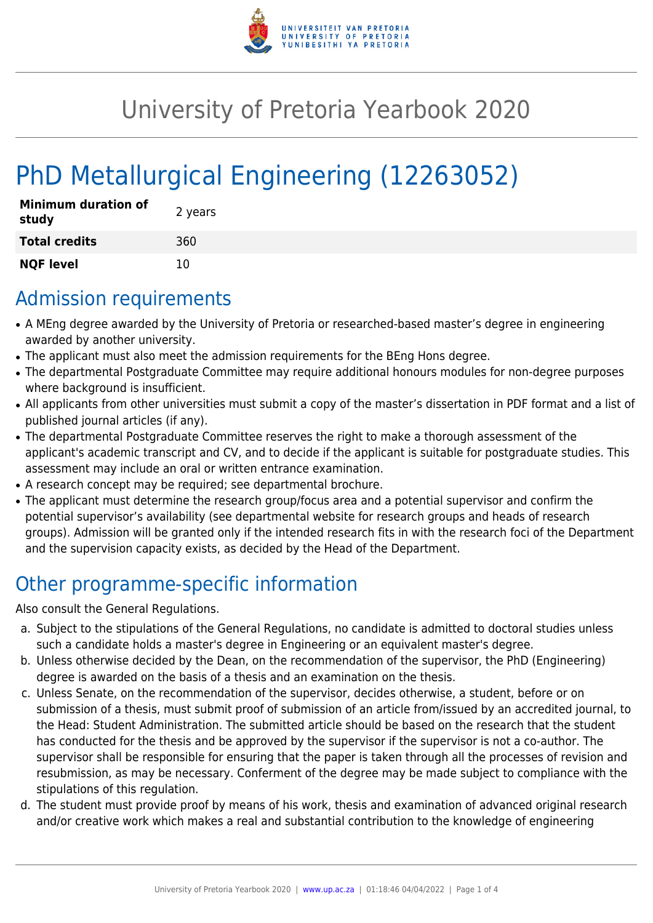

## University of Pretoria Yearbook 2020

# PhD Metallurgical Engineering (12263052)

| <b>Minimum duration of</b><br>study | 2 years |
|-------------------------------------|---------|
| <b>Total credits</b>                | 360     |
| <b>NQF level</b>                    | 10      |

#### Admission requirements

- A MEng degree awarded by the University of Pretoria or researched-based master's degree in engineering awarded by another university.
- The applicant must also meet the admission requirements for the BEng Hons degree.
- The departmental Postgraduate Committee may require additional honours modules for non-degree purposes where background is insufficient.
- All applicants from other universities must submit a copy of the master's dissertation in PDF format and a list of published journal articles (if any).
- The departmental Postgraduate Committee reserves the right to make a thorough assessment of the applicant's academic transcript and CV, and to decide if the applicant is suitable for postgraduate studies. This assessment may include an oral or written entrance examination.
- A research concept may be required; see departmental brochure.
- The applicant must determine the research group/focus area and a potential supervisor and confirm the potential supervisor's availability (see departmental website for research groups and heads of research groups). Admission will be granted only if the intended research fits in with the research foci of the Department and the supervision capacity exists, as decided by the Head of the Department.

## Other programme-specific information

Also consult the General Regulations.

- a. Subject to the stipulations of the General Regulations, no candidate is admitted to doctoral studies unless such a candidate holds a master's degree in Engineering or an equivalent master's degree.
- b. Unless otherwise decided by the Dean, on the recommendation of the supervisor, the PhD (Engineering) degree is awarded on the basis of a thesis and an examination on the thesis.
- c. Unless Senate, on the recommendation of the supervisor, decides otherwise, a student, before or on submission of a thesis, must submit proof of submission of an article from/issued by an accredited journal, to the Head: Student Administration. The submitted article should be based on the research that the student has conducted for the thesis and be approved by the supervisor if the supervisor is not a co-author. The supervisor shall be responsible for ensuring that the paper is taken through all the processes of revision and resubmission, as may be necessary. Conferment of the degree may be made subject to compliance with the stipulations of this regulation.
- d. The student must provide proof by means of his work, thesis and examination of advanced original research and/or creative work which makes a real and substantial contribution to the knowledge of engineering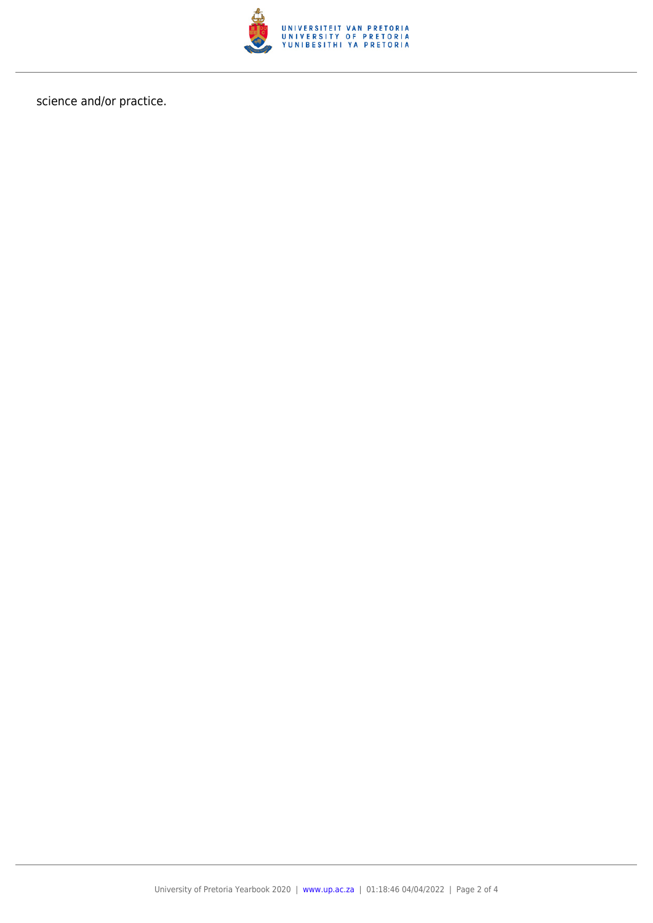

science and/or practice.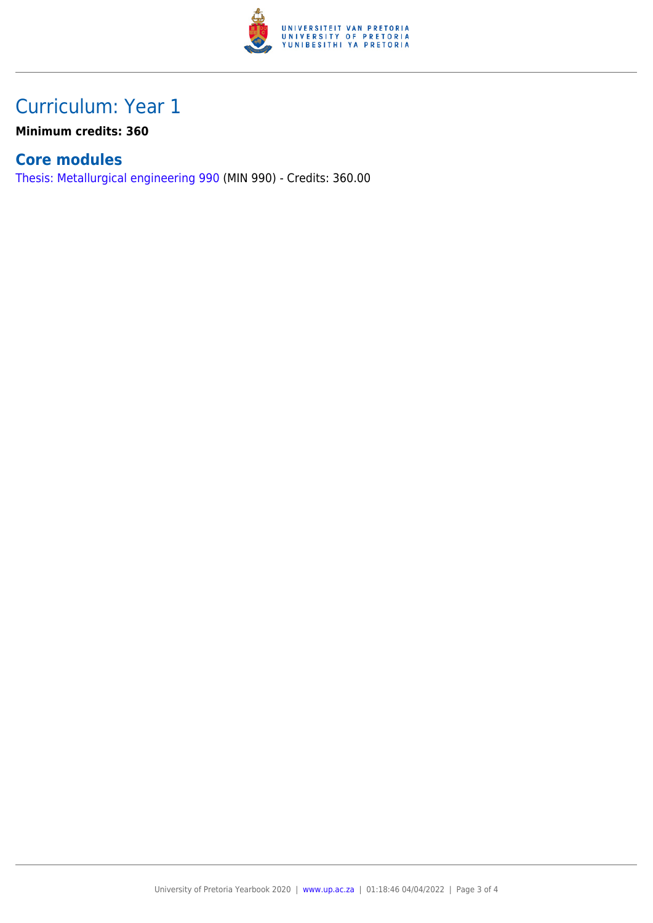

### Curriculum: Year 1

**Minimum credits: 360**

#### **Core modules**

[Thesis: Metallurgical engineering 990](https://www.up.ac.za/faculty-of-education/yearbooks/2020/modules/view/MIN 990) (MIN 990) - Credits: 360.00